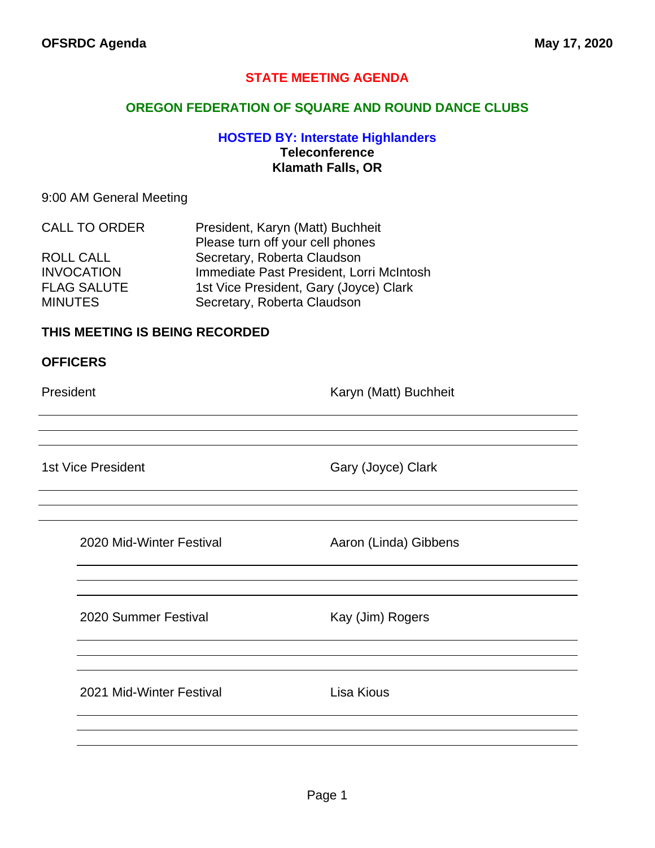## **STATE MEETING AGENDA**

### **OREGON FEDERATION OF SQUARE AND ROUND DANCE CLUBS**

## **HOSTED BY: Interstate Highlanders Teleconference Klamath Falls, OR**

#### 9:00 AM General Meeting

| <b>CALL TO ORDER</b> | President, Karyn (Matt) Buchheit         |
|----------------------|------------------------------------------|
|                      | Please turn off your cell phones         |
| <b>ROLL CALL</b>     | Secretary, Roberta Claudson              |
| <b>INVOCATION</b>    | Immediate Past President, Lorri McIntosh |
| <b>FLAG SALUTE</b>   | 1st Vice President, Gary (Joyce) Clark   |
| <b>MINUTES</b>       | Secretary, Roberta Claudson              |

## **THIS MEETING IS BEING RECORDED**

#### **OFFICERS**

President **Karyn (Matt)** Buchheit

1st Vice President Gary (Joyce) Clark

2020 Mid-Winter Festival **Aaron (Linda)** Gibbens

2020 Summer Festival Kay (Jim) Rogers

2021 Mid-Winter Festival **Lisa Kious**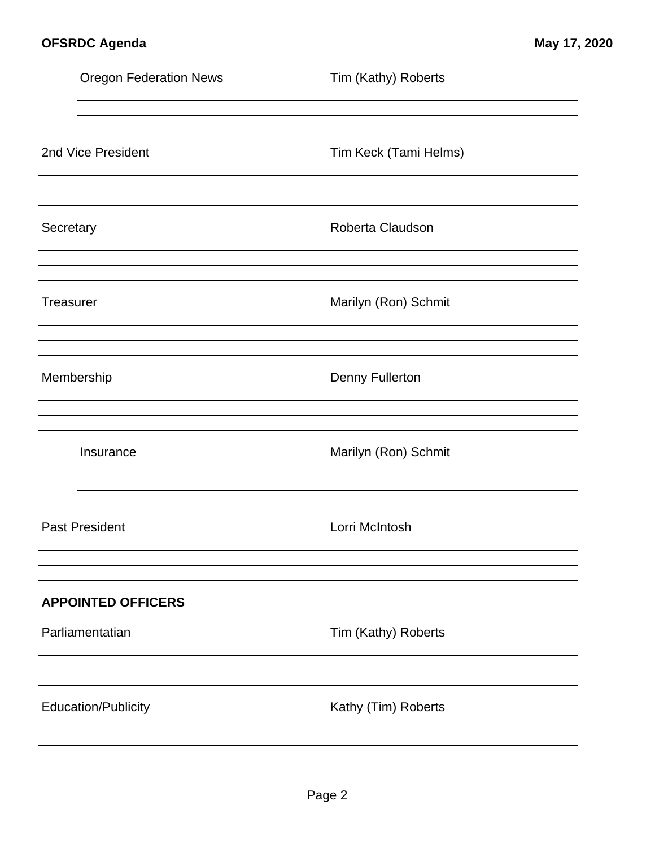|                                                                     | <b>Oregon Federation News</b> | Tim (Kathy) Roberts    |
|---------------------------------------------------------------------|-------------------------------|------------------------|
|                                                                     | 2nd Vice President            | Tim Keck (Tami Helms)  |
| Secretary                                                           |                               | Roberta Claudson       |
| <b>Treasurer</b>                                                    |                               | Marilyn (Ron) Schmit   |
|                                                                     | Membership                    | <b>Denny Fullerton</b> |
|                                                                     | Insurance                     | Marilyn (Ron) Schmit   |
|                                                                     | <b>Past President</b>         | Lorri McIntosh         |
| <b>APPOINTED OFFICERS</b><br>Parliamentatian<br>Tim (Kathy) Roberts |                               |                        |
|                                                                     |                               |                        |
|                                                                     | <b>Education/Publicity</b>    | Kathy (Tim) Roberts    |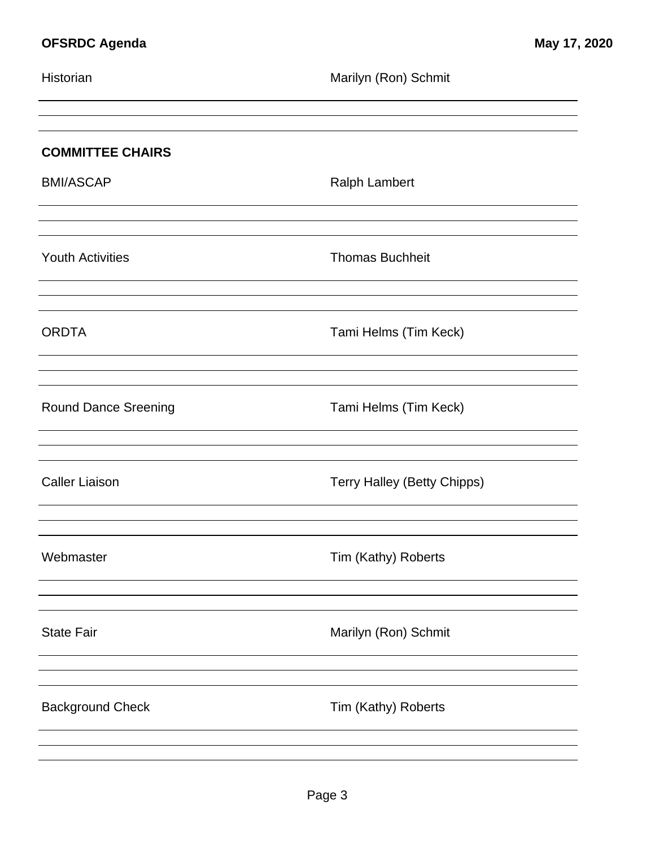| Historian                   | Marilyn (Ron) Schmit               |
|-----------------------------|------------------------------------|
| <b>COMMITTEE CHAIRS</b>     |                                    |
| <b>BMI/ASCAP</b>            | <b>Ralph Lambert</b>               |
| <b>Youth Activities</b>     | <b>Thomas Buchheit</b>             |
| <b>ORDTA</b>                | Tami Helms (Tim Keck)              |
| <b>Round Dance Sreening</b> | Tami Helms (Tim Keck)              |
| <b>Caller Liaison</b>       | <b>Terry Halley (Betty Chipps)</b> |
| Webmaster                   | Tim (Kathy) Roberts                |
| <b>State Fair</b>           | Marilyn (Ron) Schmit               |
| <b>Background Check</b>     | Tim (Kathy) Roberts                |
|                             |                                    |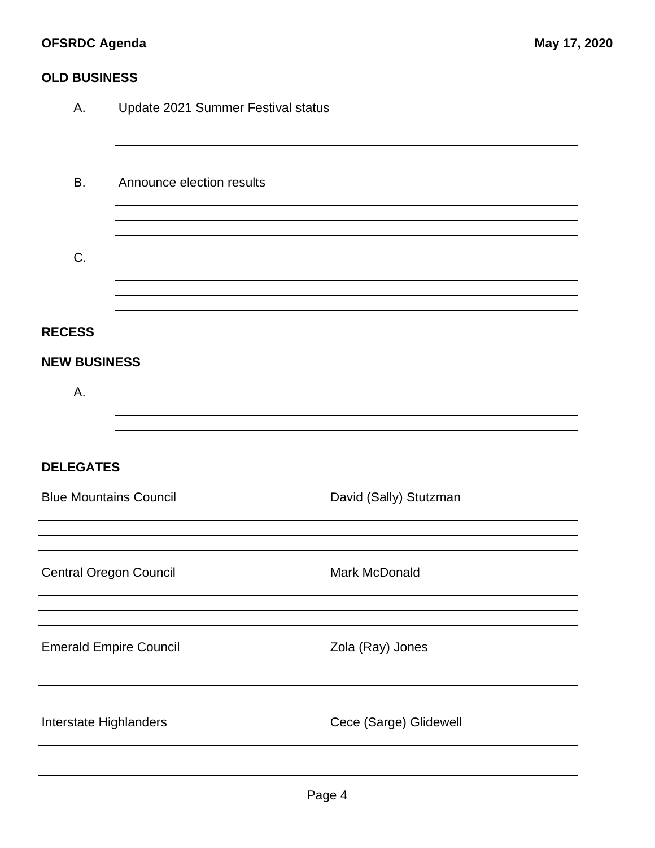# **OFSRDC Agenda May 17, 2020**

## **OLD BUSINESS**

| Α.                            | Update 2021 Summer Festival status |                        |  |  |
|-------------------------------|------------------------------------|------------------------|--|--|
|                               |                                    |                        |  |  |
| <b>B.</b>                     | Announce election results          |                        |  |  |
|                               |                                    |                        |  |  |
| C.                            |                                    |                        |  |  |
|                               |                                    |                        |  |  |
| <b>RECESS</b>                 |                                    |                        |  |  |
| <b>NEW BUSINESS</b>           |                                    |                        |  |  |
| Α.                            |                                    |                        |  |  |
|                               |                                    |                        |  |  |
| <b>DELEGATES</b>              |                                    |                        |  |  |
| <b>Blue Mountains Council</b> |                                    | David (Sally) Stutzman |  |  |
|                               |                                    |                        |  |  |
| <b>Central Oregon Council</b> |                                    | Mark McDonald          |  |  |
|                               |                                    |                        |  |  |
| <b>Emerald Empire Council</b> |                                    | Zola (Ray) Jones       |  |  |
|                               |                                    |                        |  |  |
| Interstate Highlanders        |                                    | Cece (Sarge) Glidewell |  |  |
|                               |                                    |                        |  |  |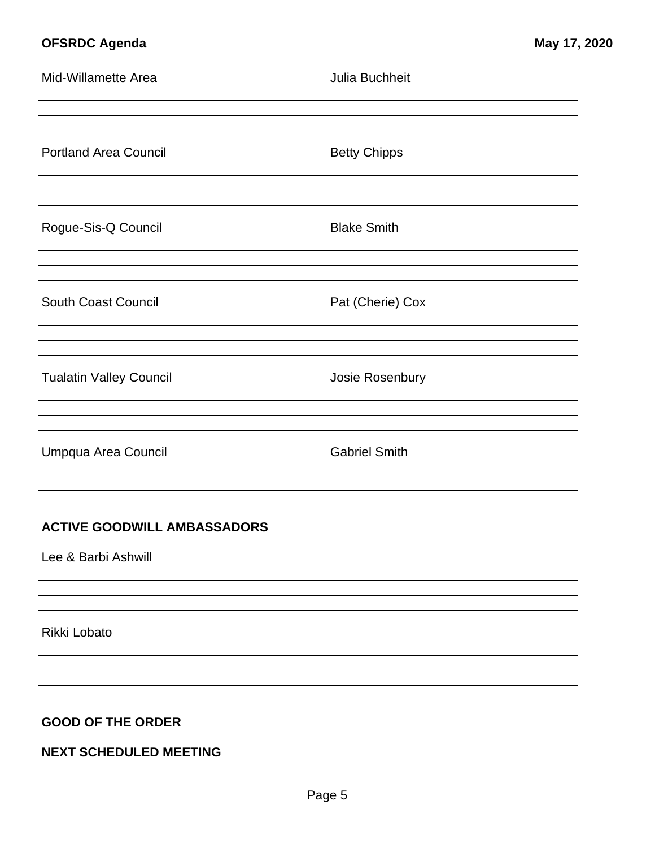# **OFSRDC Agenda May 17, 2020**

| Mid-Willamette Area                | Julia Buchheit       |
|------------------------------------|----------------------|
|                                    |                      |
| <b>Portland Area Council</b>       | <b>Betty Chipps</b>  |
|                                    |                      |
| Rogue-Sis-Q Council                | <b>Blake Smith</b>   |
|                                    |                      |
| <b>South Coast Council</b>         | Pat (Cherie) Cox     |
|                                    |                      |
| <b>Tualatin Valley Council</b>     | Josie Rosenbury      |
|                                    |                      |
| Umpqua Area Council                | <b>Gabriel Smith</b> |
|                                    |                      |
| <b>ACTIVE GOODWILL AMBASSADORS</b> |                      |
| Lee & Barbi Ashwill                |                      |
|                                    |                      |
| Rikki Lobato                       |                      |
|                                    |                      |
|                                    |                      |
| <b>GOOD OF THE ORDER</b>           |                      |
| <b>NEXT SCHEDULED MEETING</b>      |                      |